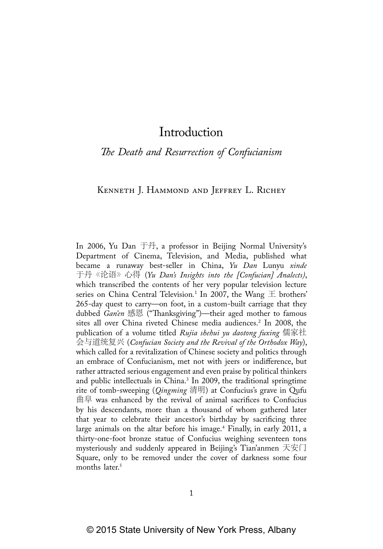## *The Death and Resurrection of Confucianism*

### Kenneth J. Hammond and Jeffrey L. Richey

In 2006, Yu Dan 于丹, a professor in Beijing Normal University's Department of Cinema, Television, and Media, published what became a runaway best-seller in China, *Yu Dan* Lunyu *xinde*  于丹《论语》心得 (*Yu Dan's Insights into the [Confucian] Analects)*, which transcribed the contents of her very popular television lecture series on China Central Television.<sup>1</sup> In 2007, the Wang  $\pm$  brothers' 265-day quest to carry—on foot, in a custom-built carriage that they dubbed *Gan'en* 感恩 ("Thanksgiving")—their aged mother to famous sites all over China riveted Chinese media audiences.<sup>2</sup> In 2008, the publication of a volume titled *Rujia shehui yu daotong fuxing* 儒家社 会与道统复兴 (*Confucian Society and the Revival of the Orthodox Way*), which called for a revitalization of Chinese society and politics through an embrace of Confucianism, met not with jeers or indifference, but rather attracted serious engagement and even praise by political thinkers and public intellectuals in China.3 In 2009, the traditional springtime rite of tomb-sweeping (*Qingming* 清明) at Confucius's grave in Qufu 曲阜 was enhanced by the revival of animal sacrifices to Confucius by his descendants, more than a thousand of whom gathered later that year to celebrate their ancestor's birthday by sacrificing three large animals on the altar before his image.4 Finally, in early 2011, a thirty-one-foot bronze statue of Confucius weighing seventeen tons mysteriously and suddenly appeared in Beijing's Tian'anmen 天安门 Square, only to be removed under the cover of darkness some four months later.<sup>5</sup>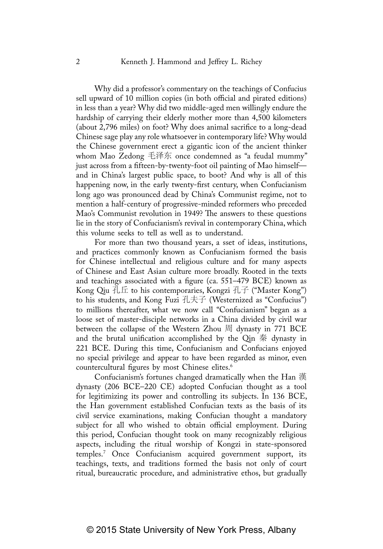Why did a professor's commentary on the teachings of Confucius sell upward of 10 million copies (in both official and pirated editions) in less than a year? Why did two middle-aged men willingly endure the hardship of carrying their elderly mother more than 4,500 kilometers (about 2,796 miles) on foot? Why does animal sacrifice to a long-dead Chinese sage play any role whatsoever in contemporary life? Why would the Chinese government erect a gigantic icon of the ancient thinker whom Mao Zedong 毛泽东 once condemned as "a feudal mummy" just across from a fifteen-by-twenty-foot oil painting of Mao himself and in China's largest public space, to boot? And why is all of this happening now, in the early twenty-first century, when Confucianism long ago was pronounced dead by China's Communist regime, not to mention a half-century of progressive-minded reformers who preceded Mao's Communist revolution in 1949? The answers to these questions lie in the story of Confucianism's revival in contemporary China, which this volume seeks to tell as well as to understand.

For more than two thousand years, a sset of ideas, institutions, and practices commonly known as Confucianism formed the basis for Chinese intellectual and religious culture and for many aspects of Chinese and East Asian culture more broadly. Rooted in the texts and teachings associated with a figure (ca. 551–479 BCE) known as Kong Qiu 孔丘 to his contemporaries, Kongzi 孔子 ("Master Kong") to his students, and Kong Fuzi 孔夫子 (Westernized as "Confucius") to millions thereafter, what we now call "Confucianism" began as a loose set of master-disciple networks in a China divided by civil war between the collapse of the Western Zhou 周 dynasty in 771 BCE and the brutal unification accomplished by the  $Q$ in  $\bar{\mathcal{F}}$  dynasty in 221 BCE. During this time, Confucianism and Confucians enjoyed no special privilege and appear to have been regarded as minor, even countercultural figures by most Chinese elites.<sup>6</sup>

Confucianism's fortunes changed dramatically when the Han 漢 dynasty (206 BCE–220 CE) adopted Confucian thought as a tool for legitimizing its power and controlling its subjects. In 136 BCE, the Han government established Confucian texts as the basis of its civil service examinations, making Confucian thought a mandatory subject for all who wished to obtain official employment. During this period, Confucian thought took on many recognizably religious aspects, including the ritual worship of Kongzi in state-sponsored temples.7 Once Confucianism acquired government support, its teachings, texts, and traditions formed the basis not only of court ritual, bureaucratic procedure, and administrative ethos, but gradually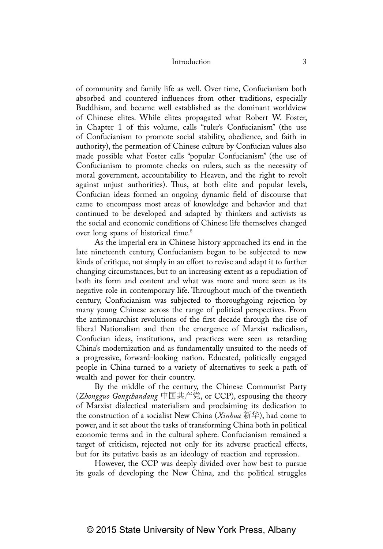of community and family life as well. Over time, Confucianism both absorbed and countered influences from other traditions, especially Buddhism, and became well established as the dominant worldview of Chinese elites. While elites propagated what Robert W. Foster, in Chapter 1 of this volume, calls "ruler's Confucianism" (the use of Confucianism to promote social stability, obedience, and faith in authority), the permeation of Chinese culture by Confucian values also made possible what Foster calls "popular Confucianism" (the use of Confucianism to promote checks on rulers, such as the necessity of moral government, accountability to Heaven, and the right to revolt against unjust authorities). Thus, at both elite and popular levels, Confucian ideas formed an ongoing dynamic field of discourse that came to encompass most areas of knowledge and behavior and that continued to be developed and adapted by thinkers and activists as the social and economic conditions of Chinese life themselves changed over long spans of historical time.<sup>8</sup>

As the imperial era in Chinese history approached its end in the late nineteenth century, Confucianism began to be subjected to new kinds of critique, not simply in an effort to revise and adapt it to further changing circumstances, but to an increasing extent as a repudiation of both its form and content and what was more and more seen as its negative role in contemporary life. Throughout much of the twentieth century, Confucianism was subjected to thoroughgoing rejection by many young Chinese across the range of political perspectives. From the antimonarchist revolutions of the first decade through the rise of liberal Nationalism and then the emergence of Marxist radicalism, Confucian ideas, institutions, and practices were seen as retarding China's modernization and as fundamentally unsuited to the needs of a progressive, forward-looking nation. Educated, politically engaged people in China turned to a variety of alternatives to seek a path of wealth and power for their country.

By the middle of the century, the Chinese Communist Party (*Zhongguo Gongchandang* 中国共产党, or CCP), espousing the theory of Marxist dialectical materialism and proclaiming its dedication to the construction of a socialist New China (*Xinhua* 新华), had come to power, and it set about the tasks of transforming China both in political economic terms and in the cultural sphere. Confucianism remained a target of criticism, rejected not only for its adverse practical effects, but for its putative basis as an ideology of reaction and repression.

However, the CCP was deeply divided over how best to pursue its goals of developing the New China, and the political struggles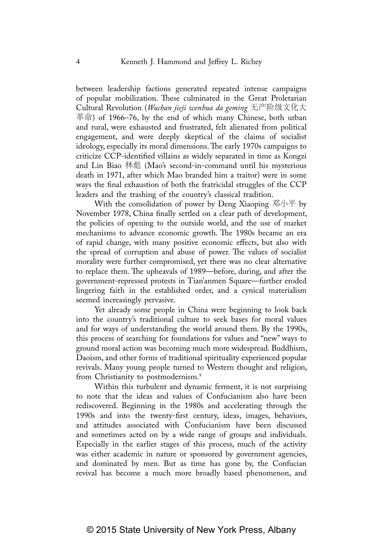between leadership factions generated repeated intense campaigns of popular mobilization. These culminated in the Great Proletarian Cultural Revolution (*Wuchan jieji wenhua da geming* 无产阶级文化大 革命) of 1966–76, by the end of which many Chinese, both urban and rural, were exhausted and frustrated, felt alienated from political engagement, and were deeply skeptical of the claims of socialist ideology, especially its moral dimensions. The early 1970s campaigns to criticize CCP-identified villains as widely separated in time as Kongzi and Lin Biao 林彪 (Mao's second-in-command until his mysterious death in 1971, after which Mao branded him a traitor) were in some ways the final exhaustion of both the fratricidal struggles of the CCP leaders and the trashing of the country's classical tradition.

With the consolidation of power by Deng Xiaoping  $\frac{X}{Y}$  by November 1978, China finally settled on a clear path of development, the policies of opening to the outside world, and the use of market mechanisms to advance economic growth. The 1980s became an era of rapid change, with many positive economic effects, but also with the spread of corruption and abuse of power. The values of socialist morality were further compromised, yet there was no clear alternative to replace them. The upheavals of 1989—before, during, and after the government-repressed protests in Tian'anmen Square—further eroded lingering faith in the established order, and a cynical materialism seemed increasingly pervasive.

Yet already some people in China were beginning to look back into the country's traditional culture to seek bases for moral values and for ways of understanding the world around them. By the 1990s, this process of searching for foundations for values and "new" ways to ground moral action was becoming much more widespread. Buddhism, Daoism, and other forms of traditional spirituality experienced popular revivals. Many young people turned to Western thought and religion, from Christianity to postmodernism.<sup>9</sup>

Within this turbulent and dynamic ferment, it is not surprising to note that the ideas and values of Confucianism also have been rediscovered. Beginning in the 1980s and accelerating through the 1990s and into the twenty-first century, ideas, images, behaviors, and attitudes associated with Confucianism have been discussed and sometimes acted on by a wide range of groups and individuals. Especially in the earlier stages of this process, much of the activity was either academic in nature or sponsored by government agencies, and dominated by men. But as time has gone by, the Confucian revival has become a much more broadly based phenomenon, and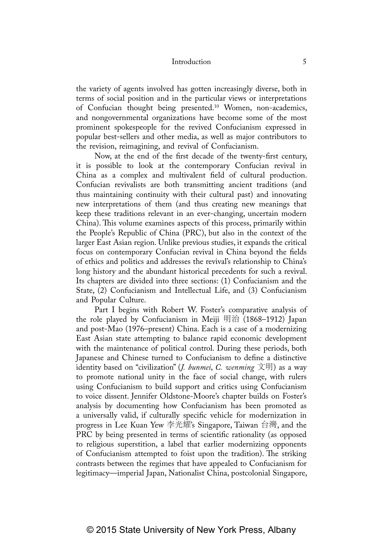the variety of agents involved has gotten increasingly diverse, both in terms of social position and in the particular views or interpretations of Confucian thought being presented.<sup>10</sup> Women, non-academics, and nongovernmental organizations have become some of the most prominent spokespeople for the revived Confucianism expressed in popular best-sellers and other media, as well as major contributors to the revision, reimagining, and revival of Confucianism.

Now, at the end of the first decade of the twenty-first century, it is possible to look at the contemporary Confucian revival in China as a complex and multivalent field of cultural production. Confucian revivalists are both transmitting ancient traditions (and thus maintaining continuity with their cultural past) and innovating new interpretations of them (and thus creating new meanings that keep these traditions relevant in an ever-changing, uncertain modern China). This volume examines aspects of this process, primarily within the People's Republic of China (PRC), but also in the context of the larger East Asian region. Unlike previous studies, it expands the critical focus on contemporary Confucian revival in China beyond the fields of ethics and politics and addresses the revival's relationship to China's long history and the abundant historical precedents for such a revival. Its chapters are divided into three sections: (1) Confucianism and the State, (2) Confucianism and Intellectual Life, and (3) Confucianism and Popular Culture.

Part I begins with Robert W. Foster's comparative analysis of the role played by Confucianism in Meiji 明治 (1868–1912) Japan and post-Mao (1976–present) China. Each is a case of a modernizing East Asian state attempting to balance rapid economic development with the maintenance of political control. During these periods, both Japanese and Chinese turned to Confucianism to define a distinctive identity based on "civilization" (*J. bunmei*, *C. wenming* 文明) as a way to promote national unity in the face of social change, with rulers using Confucianism to build support and critics using Confucianism to voice dissent. Jennifer Oldstone-Moore's chapter builds on Foster's analysis by documenting how Confucianism has been promoted as a universally valid, if culturally specific vehicle for modernization in progress in Lee Kuan Yew 李光耀's Singapore, Taiwan 台灣, and the PRC by being presented in terms of scientific rationality (as opposed to religious superstition, a label that earlier modernizing opponents of Confucianism attempted to foist upon the tradition). The striking contrasts between the regimes that have appealed to Confucianism for legitimacy—imperial Japan, Nationalist China, postcolonial Singapore,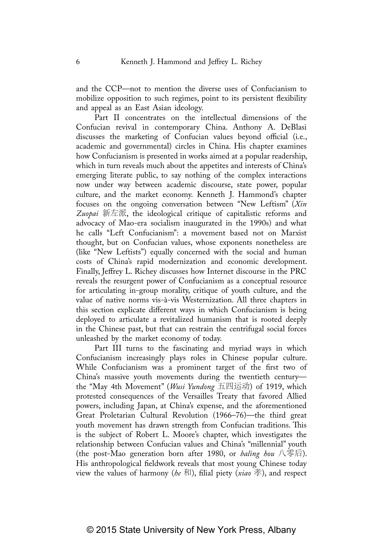and the CCP—not to mention the diverse uses of Confucianism to mobilize opposition to such regimes, point to its persistent flexibility and appeal as an East Asian ideology.

Part II concentrates on the intellectual dimensions of the Confucian revival in contemporary China. Anthony A. DeBlasi discusses the marketing of Confucian values beyond official (i.e., academic and governmental) circles in China. His chapter examines how Confucianism is presented in works aimed at a popular readership, which in turn reveals much about the appetites and interests of China's emerging literate public, to say nothing of the complex interactions now under way between academic discourse, state power, popular culture, and the market economy. Kenneth J. Hammond's chapter focuses on the ongoing conversation between "New Leftism" (*Xin Zuopai* 新左派, the ideological critique of capitalistic reforms and advocacy of Mao-era socialism inaugurated in the 1990s) and what he calls "Left Confucianism": a movement based not on Marxist thought, but on Confucian values, whose exponents nonetheless are (like "New Leftists") equally concerned with the social and human costs of China's rapid modernization and economic development. Finally, Jeffrey L. Richey discusses how Internet discourse in the PRC reveals the resurgent power of Confucianism as a conceptual resource for articulating in-group morality, critique of youth culture, and the value of native norms vis-à-vis Westernization. All three chapters in this section explicate different ways in which Confucianism is being deployed to articulate a revitalized humanism that is rooted deeply in the Chinese past, but that can restrain the centrifugal social forces unleashed by the market economy of today.

Part III turns to the fascinating and myriad ways in which Confucianism increasingly plays roles in Chinese popular culture. While Confucianism was a prominent target of the first two of China's massive youth movements during the twentieth century the "May 4th Movement" (*Wusi Yundong* 五四运动) of 1919, which protested consequences of the Versailles Treaty that favored Allied powers, including Japan, at China's expense, and the aforementioned Great Proletarian Cultural Revolution (1966–76)—the third great youth movement has drawn strength from Confucian traditions. This is the subject of Robert L. Moore's chapter, which investigates the relationship between Confucian values and China's "millennial" youth (the post-Mao generation born after 1980, or *baling hou* 八零后). His anthropological fieldwork reveals that most young Chinese today view the values of harmony (*he* 和), filial piety (*xiao* 孝), and respect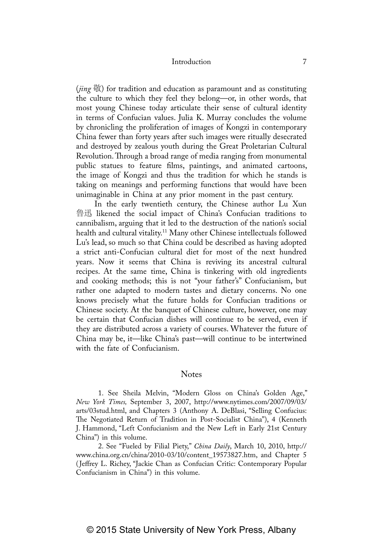(*jing* 敬) for tradition and education as paramount and as constituting the culture to which they feel they belong—or, in other words, that most young Chinese today articulate their sense of cultural identity in terms of Confucian values. Julia K. Murray concludes the volume by chronicling the proliferation of images of Kongzi in contemporary China fewer than forty years after such images were ritually desecrated and destroyed by zealous youth during the Great Proletarian Cultural Revolution. Through a broad range of media ranging from monumental public statues to feature films, paintings, and animated cartoons, the image of Kongzi and thus the tradition for which he stands is taking on meanings and performing functions that would have been unimaginable in China at any prior moment in the past century.

In the early twentieth century, the Chinese author Lu Xun 鲁迅 likened the social impact of China's Confucian traditions to cannibalism, arguing that it led to the destruction of the nation's social health and cultural vitality.<sup>11</sup> Many other Chinese intellectuals followed Lu's lead, so much so that China could be described as having adopted a strict anti-Confucian cultural diet for most of the next hundred years. Now it seems that China is reviving its ancestral cultural recipes. At the same time, China is tinkering with old ingredients and cooking methods; this is not "your father's" Confucianism, but rather one adapted to modern tastes and dietary concerns. No one knows precisely what the future holds for Confucian traditions or Chinese society. At the banquet of Chinese culture, however, one may be certain that Confucian dishes will continue to be served, even if they are distributed across a variety of courses. Whatever the future of China may be, it—like China's past—will continue to be intertwined with the fate of Confucianism.

#### **Notes**

1. See Sheila Melvin, "Modern Gloss on China's Golden Age," *New York Times,* September 3, 2007, http://www.nytimes.com/2007/09/03/ arts/03stud.html, and Chapters 3 (Anthony A. DeBlasi, "Selling Confucius: The Negotiated Return of Tradition in Post-Socialist China"), 4 (Kenneth J. Hammond, "Left Confucianism and the New Left in Early 21st Century China") in this volume.

2. See "Fueled by Filial Piety," *China Daily*, March 10, 2010, http:// www.china.org.cn/china/2010-03/10/content\_19573827.htm, and Chapter 5 ( Jeffrey L. Richey, "Jackie Chan as Confucian Critic: Contemporary Popular Confucianism in China") in this volume.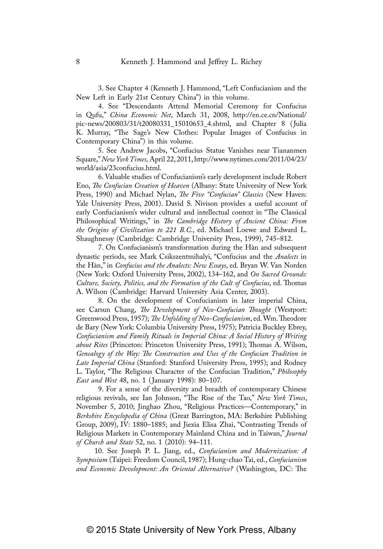3. See Chapter 4 (Kenneth J. Hammond, "Left Confucianism and the New Left in Early 21st Century China") in this volume.

4. See "Descendants Attend Memorial Ceremony for Confucius in Qufu," *China Economic Net*, March 31, 2008, http://en.ce.cn/National/ pic-news/200803/31/t20080331\_15010653\_4.shtml, and Chapter 8 ( Julia K. Murray, "The Sage's New Clothes: Popular Images of Confucius in Contemporary China") in this volume.

5. See Andrew Jacobs, "Confucius Statue Vanishes near Tiananmen Square," *New York Times,* April 22, 2011, http://www.nytimes.com/2011/04/23/ world/asia/23confucius.html.

6. Valuable studies of Confucianism's early development include Robert Eno, *The Confucian Creation of Heaven* (Albany: State University of New York Press, 1990) and Michael Nylan, *The Five "Confucian" Classics* (New Haven: Yale University Press, 2001). David S. Nivison provides a useful account of early Confucianism's wider cultural and intellectual context in "The Classical Philosophical Writings," in *The Cambridge History of Ancient China: From the Origins of Civilization to 221 B.C.*, ed. Michael Loewe and Edward L. Shaughnessy (Cambridge: Cambridge University Press, 1999), 745–812.

7. On Confucianism's transformation during the Hàn and subsequent dynastic periods, see Mark Csikszentmihalyi, "Confucius and the *Analects* in the Hàn," in *Confucius and the Analects: New Essays*, ed. Bryan W. Van Norden (New York: Oxford University Press, 2002), 134–162, and *On Sacred Grounds: Culture, Society, Politics, and the Formation of the Cult of Confucius*, ed. Thomas A. Wilson (Cambridge: Harvard University Asia Center, 2003).

8. On the development of Confucianism in later imperial China, see Carsun Chang, *The Development of Neo-Confucian Thought* (Westport: Greenwood Press, 1957); *The Unfolding of Neo-Confucianism*, ed. Wm. Theodore de Bary (New York: Columbia University Press, 1975); Patricia Buckley Ebrey, *Confucianism and Family Rituals in Imperial China: A Social History of Writing about Rites* (Princeton: Princeton University Press, 1991); Thomas A. Wilson, Genealogy of the Way: The Construction and Uses of the Confucian Tradition in *Late Imperial China* (Stanford: Stanford University Press, 1995); and Rodney L. Taylor, "The Religious Character of the Confucian Tradition," *Philosophy East and West* 48, no. 1 ( January 1998): 80–107.

9. For a sense of the diversity and breadth of contemporary Chinese religious revivals, see Ian Johnson, "The Rise of the Tao," *New York Times*, November 5, 2010; Jinghao Zhou, "Religious Practices—Contemporary," in *Berkshire Encyclopedia of China* (Great Barrington, MA: Berkshire Publishing Group, 2009), IV: 1880–1885; and Jiexia Elisa Zhai, "Contrasting Trends of Religious Markets in Contemporary Mainland China and in Taiwan," *Journal of Church and State* 52, no. 1 (2010): 94–111.

10. See Joseph P. L. Jiang, ed., *Confucianism and Modernization: A Symposium* (Taipei: Freedom Council, 1987); Hung-chao Tai, ed., *Confucianism and Economic Development: An Oriental Alternative?* (Washington, DC: The